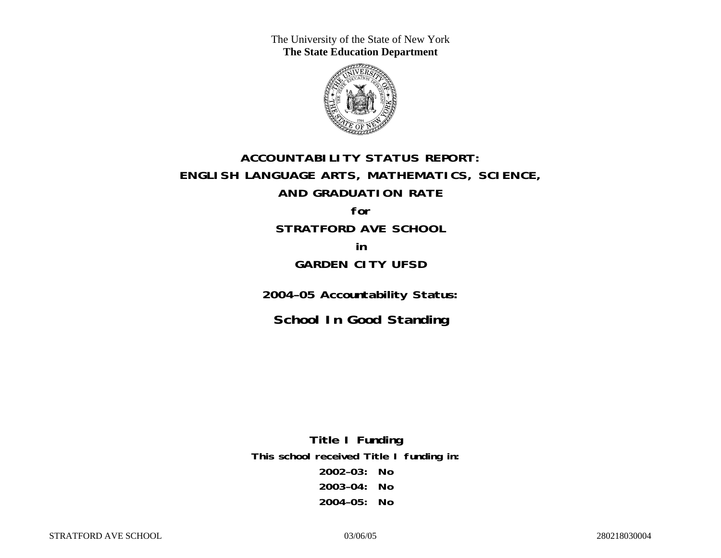The University of the State of New York **The State Education Department** 



# **ACCOUNTABILITY STATUS REPORT: ENGLISH LANGUAGE ARTS, MATHEMATICS, SCIENCE, AND GRADUATION RATE for**

**STRATFORD AVE SCHOOL in** 

## **GARDEN CITY UFSD**

**2004–05 Accountability Status:** 

**School In Good Standing** 

**Title I Funding This school received Title I funding in: 2002–03: No 2003–04: No 2004–05: No**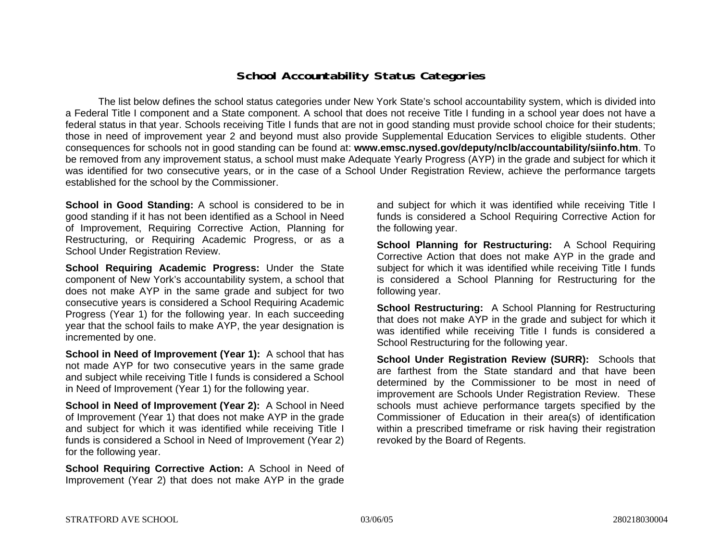### **School Accountability Status Categories**

The list below defines the school status categories under New York State's school accountability system, which is divided into a Federal Title I component and a State component. A school that does not receive Title I funding in a school year does not have a federal status in that year. Schools receiving Title I funds that are not in good standing must provide school choice for their students; those in need of improvement year 2 and beyond must also provide Supplemental Education Services to eligible students. Other consequences for schools not in good standing can be found at: **www.emsc.nysed.gov/deputy/nclb/accountability/siinfo.htm**. To be removed from any improvement status, a school must make Adequate Yearly Progress (AYP) in the grade and subject for which it was identified for two consecutive years, or in the case of a School Under Registration Review, achieve the performance targets established for the school by the Commissioner.

**School in Good Standing:** A school is considered to be in good standing if it has not been identified as a School in Need of Improvement, Requiring Corrective Action, Planning for Restructuring, or Requiring Academic Progress, or as a School Under Registration Review.

**School Requiring Academic Progress:** Under the State component of New York's accountability system, a school that does not make AYP in the same grade and subject for two consecutive years is considered a School Requiring Academic Progress (Year 1) for the following year. In each succeeding year that the school fails to make AYP, the year designation is incremented by one.

**School in Need of Improvement (Year 1):** A school that has not made AYP for two consecutive years in the same grade and subject while receiving Title I funds is considered a School in Need of Improvement (Year 1) for the following year.

**School in Need of Improvement (Year 2):** A School in Need of Improvement (Year 1) that does not make AYP in the grade and subject for which it was identified while receiving Title I funds is considered a School in Need of Improvement (Year 2) for the following year.

**School Requiring Corrective Action:** A School in Need of Improvement (Year 2) that does not make AYP in the grade

and subject for which it was identified while receiving Title I funds is considered a School Requiring Corrective Action for the following year.

**School Planning for Restructuring:** A School Requiring Corrective Action that does not make AYP in the grade and subject for which it was identified while receiving Title I funds is considered a School Planning for Restructuring for the following year.

**School Restructuring:** A School Planning for Restructuring that does not make AYP in the grade and subject for which it was identified while receiving Title I funds is considered a School Restructuring for the following year.

**School Under Registration Review (SURR):** Schools that are farthest from the State standard and that have been determined by the Commissioner to be most in need of improvement are Schools Under Registration Review. These schools must achieve performance targets specified by the Commissioner of Education in their area(s) of identification within a prescribed timeframe or risk having their registration revoked by the Board of Regents.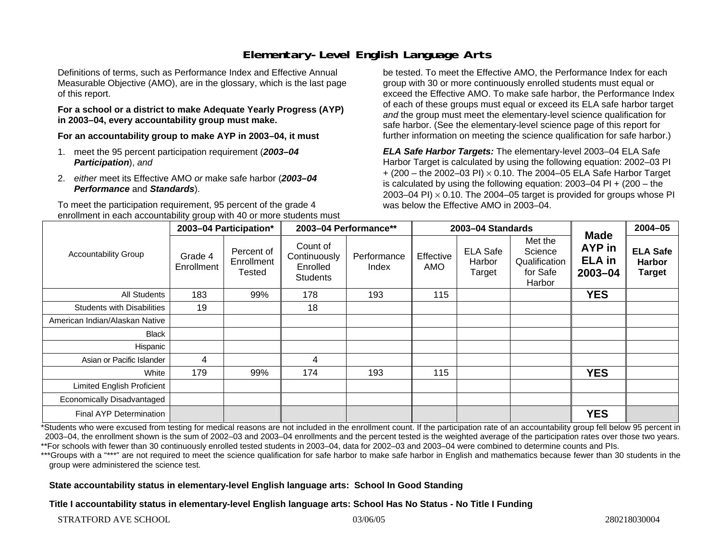# **Elementary-Level English Language Arts**

Definitions of terms, such as Performance Index and Effective Annual Measurable Objective (AMO), are in the glossary, which is the last page of this report.

#### **For a school or a district to make Adequate Yearly Progress (AYP) in 2003–04, every accountability group must make.**

**For an accountability group to make AYP in 2003–04, it must** 

- 1. meet the 95 percent participation requirement (*2003–04 Participation*), *and*
- 2. *either* meet its Effective AMO *or* make safe harbor (*2003–04 Performance* and *Standards*).

To meet the participation requirement, 95 percent of the grade 4 enrollment in each accountability group with 40 or more students must

be tested. To meet the Effective AMO, the Performance Index for each group with 30 or more continuously enrolled students must equal or exceed the Effective AMO. To make safe harbor, the Performance Index of each of these groups must equal or exceed its ELA safe harbor target *and* the group must meet the elementary-level science qualification for safe harbor. (See the elementary-level science page of this report for further information on meeting the science qualification for safe harbor.)

*ELA Safe Harbor Targets:* The elementary-level 2003–04 ELA Safe Harbor Target is calculated by using the following equation: 2002–03 PI + (200 – the 2002–03 PI) <sup>×</sup> 0.10. The 2004–05 ELA Safe Harbor Target is calculated by using the following equation: 2003–04 PI + (200 – the 2003–04 PI)  $\times$  0.10. The 2004–05 target is provided for groups whose PI was below the Effective AMO in 2003–04.

| <b>Accountability Group</b>       | 2003-04 Participation* |                                    | 2003-04 Performance**                                   |                      | 2003-04 Standards |                                     |                                                           |                                                              | $2004 - 05$                                       |
|-----------------------------------|------------------------|------------------------------------|---------------------------------------------------------|----------------------|-------------------|-------------------------------------|-----------------------------------------------------------|--------------------------------------------------------------|---------------------------------------------------|
|                                   | Grade 4<br>Enrollment  | Percent of<br>Enrollment<br>Tested | Count of<br>Continuously<br>Enrolled<br><b>Students</b> | Performance<br>Index | Effective<br>AMO  | <b>ELA Safe</b><br>Harbor<br>Target | Met the<br>Science<br>Qualification<br>for Safe<br>Harbor | <b>Made</b><br><b>AYP</b> in<br><b>ELA</b> in<br>$2003 - 04$ | <b>ELA Safe</b><br><b>Harbor</b><br><b>Target</b> |
| All Students                      | 183                    | 99%                                | 178                                                     | 193                  | 115               |                                     |                                                           | <b>YES</b>                                                   |                                                   |
| <b>Students with Disabilities</b> | 19                     |                                    | 18                                                      |                      |                   |                                     |                                                           |                                                              |                                                   |
| American Indian/Alaskan Native    |                        |                                    |                                                         |                      |                   |                                     |                                                           |                                                              |                                                   |
| Black                             |                        |                                    |                                                         |                      |                   |                                     |                                                           |                                                              |                                                   |
| Hispanic                          |                        |                                    |                                                         |                      |                   |                                     |                                                           |                                                              |                                                   |
| Asian or Pacific Islander         | 4                      |                                    | 4                                                       |                      |                   |                                     |                                                           |                                                              |                                                   |
| White                             | 179                    | 99%                                | 174                                                     | 193                  | 115               |                                     |                                                           | <b>YES</b>                                                   |                                                   |
| Limited English Proficient        |                        |                                    |                                                         |                      |                   |                                     |                                                           |                                                              |                                                   |
| Economically Disadvantaged        |                        |                                    |                                                         |                      |                   |                                     |                                                           |                                                              |                                                   |
| <b>Final AYP Determination</b>    |                        |                                    |                                                         |                      |                   |                                     |                                                           | <b>YES</b>                                                   |                                                   |

\*Students who were excused from testing for medical reasons are not included in the enrollment count. If the participation rate of an accountability group fell below 95 percent in 2003–04, the enrollment shown is the sum of 2002–03 and 2003–04 enrollments and the percent tested is the weighted average of the participation rates over those two years. \*\*For schools with fewer than 30 continuously enrolled tested students in 2003–04, data for 2002–03 and 2003–04 were combined to determine counts and PIs.

\*\*\*Groups with a "\*\*\*" are not required to meet the science qualification for safe harbor to make safe harbor in English and mathematics because fewer than 30 students in the group were administered the science test.

**State accountability status in elementary-level English language arts: School In Good Standing** 

**Title I accountability status in elementary-level English language arts: School Has No Status - No Title I Funding**

STRATFORD AVE SCHOOL 280218030004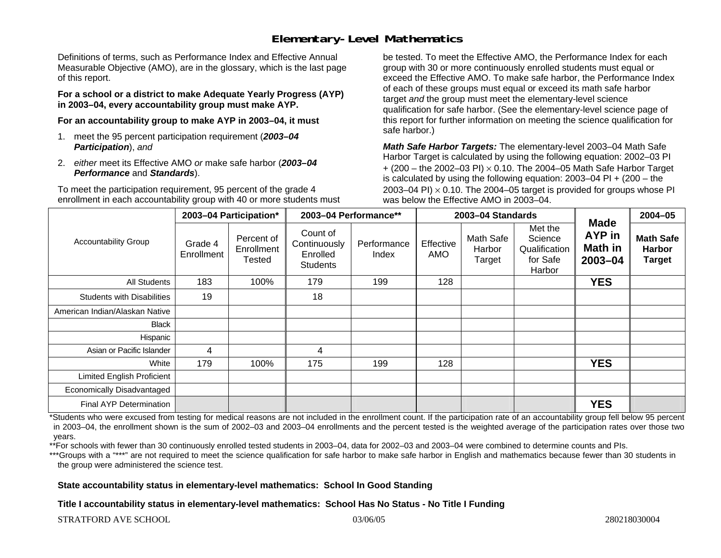## **Elementary-Level Mathematics**

Definitions of terms, such as Performance Index and Effective Annual Measurable Objective (AMO), are in the glossary, which is the last page of this report.

**For a school or a district to make Adequate Yearly Progress (AYP) in 2003–04, every accountability group must make AYP.** 

**For an accountability group to make AYP in 2003–04, it must** 

- 1. meet the 95 percent participation requirement (*2003–04 Participation*), *and*
- 2. *either* meet its Effective AMO *or* make safe harbor (*2003–04 Performance* and *Standards*).

To meet the participation requirement, 95 percent of the grade 4 enrollment in each accountability group with 40 or more students must be tested. To meet the Effective AMO, the Performance Index for each group with 30 or more continuously enrolled students must equal or exceed the Effective AMO. To make safe harbor, the Performance Index of each of these groups must equal or exceed its math safe harbor target *and* the group must meet the elementary-level science qualification for safe harbor. (See the elementary-level science page of this report for further information on meeting the science qualification for safe harbor.)

*Math Safe Harbor Targets:* The elementary-level 2003–04 Math Safe Harbor Target is calculated by using the following equation: 2002–03 PI + (200 – the 2002–03 PI) <sup>×</sup> 0.10. The 2004–05 Math Safe Harbor Target is calculated by using the following equation: 2003–04 PI + (200 – the 2003–04 PI)  $\times$  0.10. The 2004–05 target is provided for groups whose PI was below the Effective AMO in 2003–04.

| <b>Accountability Group</b>       | 2003-04 Participation* |                                    | 2003-04 Performance**                                   |                      | 2003-04 Standards |                               |                                                           |                                                    | 2004-05                                            |
|-----------------------------------|------------------------|------------------------------------|---------------------------------------------------------|----------------------|-------------------|-------------------------------|-----------------------------------------------------------|----------------------------------------------------|----------------------------------------------------|
|                                   | Grade 4<br>Enrollment  | Percent of<br>Enrollment<br>Tested | Count of<br>Continuously<br>Enrolled<br><b>Students</b> | Performance<br>Index | Effective<br>AMO  | Math Safe<br>Harbor<br>Target | Met the<br>Science<br>Qualification<br>for Safe<br>Harbor | <b>Made</b><br><b>AYP</b> in<br>Math in<br>2003-04 | <b>Math Safe</b><br><b>Harbor</b><br><b>Target</b> |
| All Students                      | 183                    | 100%                               | 179                                                     | 199                  | 128               |                               |                                                           | <b>YES</b>                                         |                                                    |
| <b>Students with Disabilities</b> | 19                     |                                    | 18                                                      |                      |                   |                               |                                                           |                                                    |                                                    |
| American Indian/Alaskan Native    |                        |                                    |                                                         |                      |                   |                               |                                                           |                                                    |                                                    |
| <b>Black</b>                      |                        |                                    |                                                         |                      |                   |                               |                                                           |                                                    |                                                    |
| Hispanic                          |                        |                                    |                                                         |                      |                   |                               |                                                           |                                                    |                                                    |
| Asian or Pacific Islander         | 4                      |                                    | 4                                                       |                      |                   |                               |                                                           |                                                    |                                                    |
| White                             | 179                    | 100%                               | 175                                                     | 199                  | 128               |                               |                                                           | <b>YES</b>                                         |                                                    |
| <b>Limited English Proficient</b> |                        |                                    |                                                         |                      |                   |                               |                                                           |                                                    |                                                    |
| Economically Disadvantaged        |                        |                                    |                                                         |                      |                   |                               |                                                           |                                                    |                                                    |
| Final AYP Determination           |                        |                                    |                                                         |                      |                   |                               |                                                           | <b>YES</b>                                         |                                                    |

\*Students who were excused from testing for medical reasons are not included in the enrollment count. If the participation rate of an accountability group fell below 95 percent in 2003–04, the enrollment shown is the sum of 2002–03 and 2003–04 enrollments and the percent tested is the weighted average of the participation rates over those two years.

\*\*For schools with fewer than 30 continuously enrolled tested students in 2003–04, data for 2002–03 and 2003–04 were combined to determine counts and PIs.

\*\*\*Groups with a "\*\*\*" are not required to meet the science qualification for safe harbor to make safe harbor in English and mathematics because fewer than 30 students in the group were administered the science test.

**State accountability status in elementary-level mathematics: School In Good Standing** 

**Title I accountability status in elementary-level mathematics: School Has No Status - No Title I Funding**

STRATFORD AVE SCHOOL 280218030004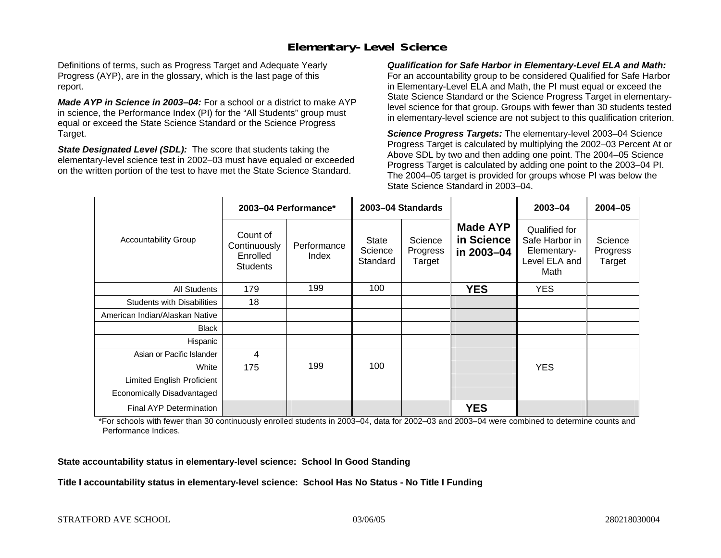## **Elementary-Level Science**

Definitions of terms, such as Progress Target and Adequate Yearly Progress (AYP), are in the glossary, which is the last page of this report.

*Made AYP in Science in 2003–04:* For a school or a district to make AYP in science, the Performance Index (PI) for the "All Students" group must equal or exceed the State Science Standard or the Science Progress Target.

*State Designated Level (SDL):* The score that students taking the elementary-level science test in 2002–03 must have equaled or exceeded on the written portion of the test to have met the State Science Standard.

*Qualification for Safe Harbor in Elementary-Level ELA and Math:* For an accountability group to be considered Qualified for Safe Harbor in Elementary-Level ELA and Math, the PI must equal or exceed the State Science Standard or the Science Progress Target in elementarylevel science for that group. Groups with fewer than 30 students tested in elementary-level science are not subject to this qualification criterion.

*Science Progress Targets:* The elementary-level 2003–04 Science Progress Target is calculated by multiplying the 2002–03 Percent At or Above SDL by two and then adding one point. The 2004–05 Science Progress Target is calculated by adding one point to the 2003–04 PI. The 2004–05 target is provided for groups whose PI was below the State Science Standard in 2003–04.

|                                   | 2003-04 Performance*                                    |                      | 2003-04 Standards                   |                               |                                             | $2003 - 04$                                                             | $2004 - 05$                   |
|-----------------------------------|---------------------------------------------------------|----------------------|-------------------------------------|-------------------------------|---------------------------------------------|-------------------------------------------------------------------------|-------------------------------|
| <b>Accountability Group</b>       | Count of<br>Continuously<br>Enrolled<br><b>Students</b> | Performance<br>Index | <b>State</b><br>Science<br>Standard | Science<br>Progress<br>Target | <b>Made AYP</b><br>in Science<br>in 2003-04 | Qualified for<br>Safe Harbor in<br>Elementary-<br>Level ELA and<br>Math | Science<br>Progress<br>Target |
| <b>All Students</b>               | 179                                                     | 199                  | 100                                 |                               | <b>YES</b>                                  | YES.                                                                    |                               |
| <b>Students with Disabilities</b> | 18                                                      |                      |                                     |                               |                                             |                                                                         |                               |
| American Indian/Alaskan Native    |                                                         |                      |                                     |                               |                                             |                                                                         |                               |
| <b>Black</b>                      |                                                         |                      |                                     |                               |                                             |                                                                         |                               |
| Hispanic                          |                                                         |                      |                                     |                               |                                             |                                                                         |                               |
| Asian or Pacific Islander         | 4                                                       |                      |                                     |                               |                                             |                                                                         |                               |
| White                             | 175                                                     | 199                  | 100                                 |                               |                                             | <b>YES</b>                                                              |                               |
| Limited English Proficient        |                                                         |                      |                                     |                               |                                             |                                                                         |                               |
| Economically Disadvantaged        |                                                         |                      |                                     |                               |                                             |                                                                         |                               |
| Final AYP Determination           |                                                         |                      |                                     |                               | <b>YES</b>                                  |                                                                         |                               |

\*For schools with fewer than 30 continuously enrolled students in 2003–04, data for 2002–03 and 2003–04 were combined to determine counts and Performance Indices.

**State accountability status in elementary-level science: School In Good Standing** 

**Title I accountability status in elementary-level science: School Has No Status - No Title I Funding**